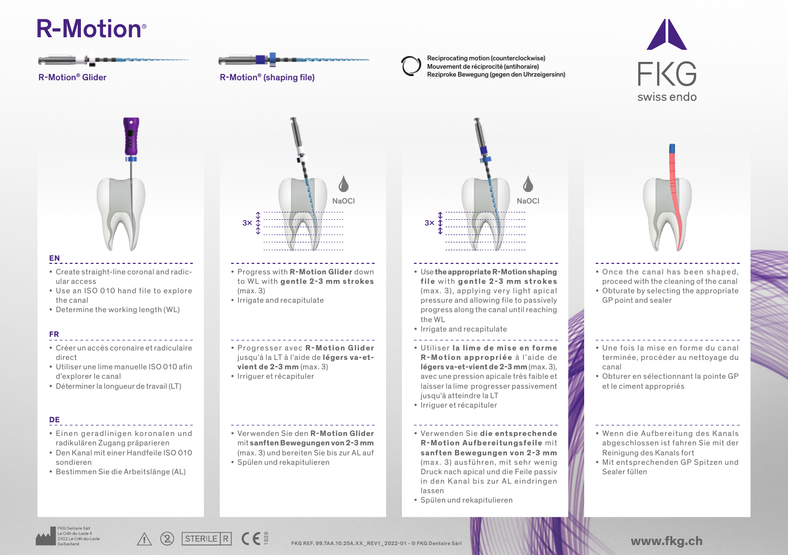## **R-Motion**<sup>®</sup>











## **EN**

- Create straight-line coronal and radicular access
- Use an ISO 010 hand file to explore the canal
- Determine the working length (WL)

### **FR**

- Créer un accès coronaire et radiculaire direct
- Utiliser une lime manuelle ISO 010 afin d'explorer le canal
- Déterminer la longueur de travail (LT)

## **DE**

• Einen geradlinigen koronalen und radikulären Zugang präparieren

- Den Kanal mit einer Handfeile ISO 010 sondieren
- Bestimmen Sie die Arbeitslänge (AL)



- Progress with **R-Motion Glider** down to WL with **gentle 2-3 mm strokes**  (max. 3)
- Irrigate and recapitulate

- Progresser avec **R-Motion Glider** jusqu'à la LT à l'aide de **légers va-etvient de 2-3 mm** (max. 3)
- Irriguer et récapituler

### • Verwenden Sie den **R-Motion Glider** mit **sanften Bewegungen von 2-3 mm**  (max. 3) und bereiten Sie bis zur AL auf • Spülen und rekapitulieren



- Use **the appropriate R-Motion shaping file** with **gentle 2-3 mm strokes** (max. 3), applying very light apical pressure and allowing file to passively progress along the canal until reaching the WL
- Irrigate and recapitulate

- $\cdot$  Utiliser **la lime de mise en forme R**-Motion appropriée à l'aide de **légers va-et-vient de 2-3 mm** (max. 3), avec une pression apicale très faible et laisser la lime progresser passivement jusqu'à atteindre la LT
- Irriguer et récapituler
- Verwenden Sie **die entsprechende R-Motion Aufbereitungsfeile** mit **sanften Bewegungen von 2-3 mm** (max. 3) ausführen, mit sehr wenig Druck nach apical und die Feile passiv in den Kanal bis zur AL eindringen lassen
- Spülen und rekapitulieren



- Once the canal has been shaped, proceed with the cleaning of the canal
- Obturate by selecting the appropriate GP point and sealer

• Une fois la mise en forme du canal terminée, procéder au nettoyage du canal

• Obturer en sélectionnant la pointe GP et le ciment appropriés

• Wenn die Aufbereitung des Kanals abgeschlossen ist fahren Sie mit der Reinigung des Kanals fort

• Mit entsprechenden GP Spitzen und Sealer füllen

Critician acts A 322 Le Crêt-du-Lock